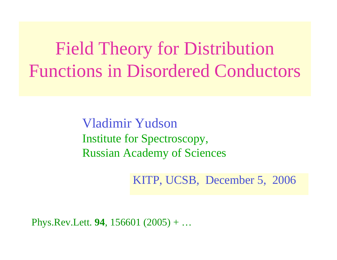Field Theory for Distribution Functions in Disordered Conductors

> Vladimir Yudson Institute for Spectroscopy, Russian Academy of Sciences

> > KITP, UCSB, December 5, 2006

Phys.Rev.Lett. **94**, 156601 (2005) + …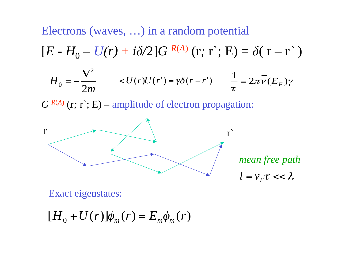Electrons (waves, …) in a random potential  $[E - H_0 - U(r) \pm i\delta/2]G^{R(A)}(\mathbf{r}; \mathbf{r}; \mathbf{E}) = \delta(\mathbf{r} - \mathbf{r}^*)$  $\Omega$ 

$$
H_0 = -\frac{\nabla^2}{2m} \qquad
$$

*G <sup>R</sup>*(*A*) (r*;* <sup>r</sup>`; E) – amplitude of electron propagation:



*mean free path*

 $l = v_F \tau \ll \lambda$ 

Exact eigenstates:

$$
[H_0 + U(r)]\phi_m(r) = E_m \phi_m(r)
$$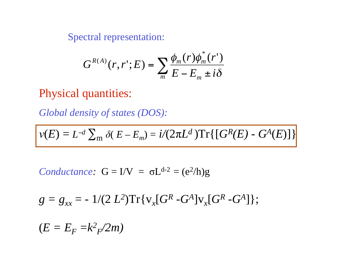Spectral representation:

$$
G^{R(A)}(r,r';E) = \sum_{m} \frac{\phi_m(r)\phi_m^*(r')}{E - E_m \pm i\delta}
$$

#### Physical quantities:

*Global density of states (DOS):*

$$
v(E) = L^{-d} \sum_{m} \delta(E - E_{m}) = i/(2\pi L^{d}) \text{Tr} \{ [ G^{R}(E) - G^{A}(E) ] \}
$$

*Conductance:*  $G = I/V = \sigma L^{d-2} = (e^2/h)g$ 

$$
g = g_{xx} = -1/(2 L^2) \text{Tr} \{ v_x [G^R - G^A] v_x [G^R - G^A] \};
$$

 $(E = E_F = k^2/2m)$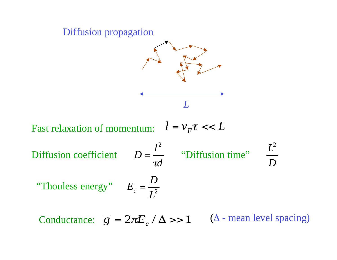

Conductance:  $\overline{g} = 2\pi E_c / \Delta >> 1$  $(\Delta$  - mean level spacing)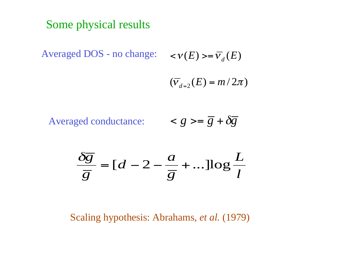## Some physical results

Averaged DOS - no change: <

$$
\langle \mathcal{V}(E) \rangle = \overline{V}_d(E)
$$

$$
(\overline{v}_{d=2}(E)=m/2\pi)
$$

$$
Averaged conductance: \qquad \qquad =\overline{g}+\delta\overline{g}
$$

$$
\frac{\delta \overline{g}}{\overline{g}} = [d - 2 - \frac{a}{\overline{g}} + \dots] \log \frac{L}{l}
$$

Scaling hypothesis: Abrahams, *et al.* (1979)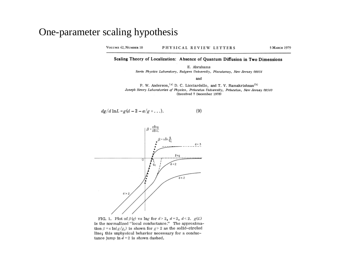#### One-parameter scaling hypothesis

VOLUME 42, NUMBER 10 PHYSICAL REVIEW LETTERS 5 MARCH 1979

#### Scaling Theory of Localization: Absence of Quantum Diffusion in Two Dimensions

E. Abrahams

Serin Physics Laboratory, Rutgers University, Piscataway, New Jersey 08854

and

P. W. Anderson, <sup>(a)</sup> D. C. Licciardello, and T. V. Ramakrishnan<sup>(b)</sup> Joseph Henry Laboratories of Physics, Princeton University, Princeton, New Jersey 08540 (Received 7 December 1978)

$$
dg/d \ln L = g(d - 2 - a/g + ...).
$$
 (9)



FIG. 1. Plot of  $\beta(g)$  vs lng for  $d > 2$ ,  $d = 2$ ,  $d \le 2$ .  $g(L)$ is the normalized "local conductance." The approximation  $\beta = s \ln(g/g_c)$  is shown for  $g > 2$  as the solid-circled line; this unphysical behavior necessary for a conductance jump in  $d=2$  is shown dashed.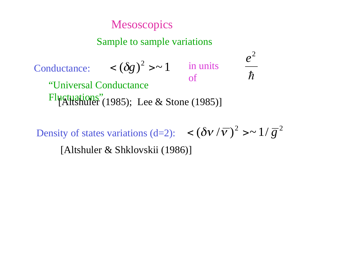### **Mesoscopics**

#### Sample to sample variations

#### Conductance:  $( $\delta g$ )<sup>2</sup> > ~ 1$  in units of  $h$ 2 *e* "Universal Conductance Fluctuations" (1985); Lee & Stone (1985)]

Density of states variations (d=2):  $\langle (\delta v / \overline{v})^2 \rangle^2 > \sim 1 / \overline{g}^2$ [Altshuler & Shklovskii (1986)]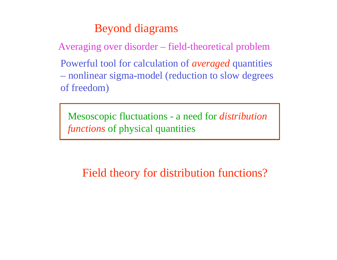## Beyond diagrams

Averaging over disorder – field-theoretical problem

Powerful tool for calculation of *averaged* quantities – nonlinear sigma-model (reduction to slow degrees of freedom)

Mesoscopic fluctuations - a need for *distribution functions* of physical quantities

Field theory for distribution functions?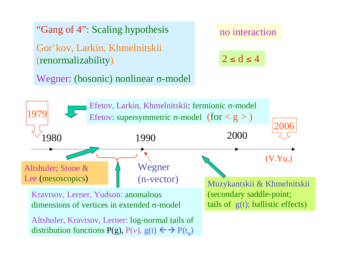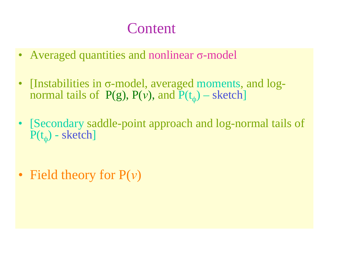# **Content**

- Averaged quantities and nonlinear  $\sigma$ -model
- $\bullet$ [Instabilities in  $\sigma$ -model, averaged moments, and  $log$ normal tails of  $P(g)$ ,  $P(v)$ , and  $P(t_{\varphi})$  – sketch]
- [Secondary saddle-point approach and log-normal tails of  $P(t_0)$  - sketch]
- Field theory for  $P(v)$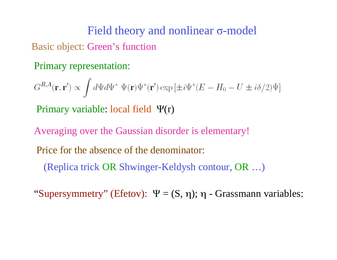# Field theory and nonlinear  $\sigma$ -model Basic object: Green's function

#### Primary representation:

 $G^{R,A}(\mathbf{r},\mathbf{r}') \propto \int d\Psi d\Psi^* \ \Psi(\mathbf{r}) \Psi^*(\mathbf{r}') \exp \left[\pm i\Psi^*(E-H_0-U\pm i\delta/2)\Psi\right]$ Primary variable: local field  $\Psi(r)$ 

Averaging over the Gaussian disorder is elementary!

Price for the absence of the denominator:

(Replica trick OR Shwinger-Keldysh contour, OR …)

"Supersymmetry" (Efetov):  $\Psi = (S, \eta)$ ;  $\eta$  - Grassmann variables: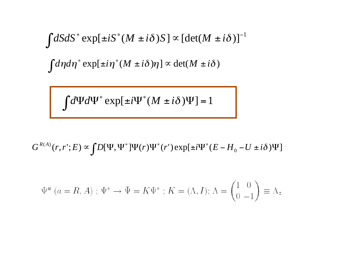$$
\int dS dS^* \exp[\pm iS^*(M \pm i\delta)S] \propto [\det(M \pm i\delta)]^{-1}
$$
  

$$
\int d\eta d\eta^* \exp[\pm i\eta^*(M \pm i\delta)\eta] \propto \det(M \pm i\delta)
$$

 $\int d\Psi d\Psi^* \exp[\pm i\Psi^*(M \pm i\delta)\Psi] = 1$ 

 $\propto \int D[\Psi, \Psi^*]\Psi(r)\Psi^*(r') \exp[\pm i\Psi^*(E-\Psi)$  $G^{R(A)}(r, r'; E) \propto \int D[\Psi, \Psi^*]\Psi(r)\Psi^*(r')\exp[\pm i\Psi^*(E - H_0 - U \pm i\delta)\Psi]$ 

$$
\Psi^{a} (a = R, A) ; \Psi^{*} \rightarrow \bar{\Psi} = K \Psi^{*} ; K = (\Lambda, I) ; \Lambda = \begin{pmatrix} 1 & 0 \\ 0 & -1 \end{pmatrix} \equiv \Lambda_{z}
$$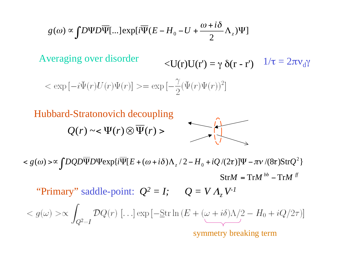$$
g(\omega) \propto \int D\Psi D\overline{\Psi}[\ldots] \exp[i\overline{\Psi}(E - H_0 - U + \frac{\omega + i\delta}{2} \Lambda_z)\Psi]
$$

Averaging over disorder

$$
\langle U(r)U(r') = \gamma \, \delta(r-r') \quad 1/\tau = 2\pi v_d \gamma
$$

$$
\langle \exp[-i\Psi(r)U(r)\Psi(r)] \rangle = \exp[-\frac{\gamma}{2}(\bar{\Psi}(r)\Psi(r))^2]
$$

Hubbard-Stratonovich decoupling

$$
Q(r) \sim <\Psi(r)\otimes \overline{\Psi}(r)>
$$



 $StrM = TrM^{bb} - TrM^{ff}$  $\leq g(\omega) > \infty$   $\int DQD\overline{\Psi}D\Psi \exp\{i\overline{\Psi}[E + (\omega + i\delta)\Lambda_z/2 - H_0 + iQ/(2\tau)]\Psi - \pi\nu/(8\tau)\text{Str}Q^2\}$ 

"Primary" saddle-point:  $Q^2 = I$ ;  $Q = VA$ ,  $V^{-1}$ 

 $< g(\omega) > \propto \int_{Q^2 = I} \mathcal{D} Q(r) \; [\ldots] \exp \left[ -\underline{\mathrm{Str}} \ln \left( E + (\omega + i \delta) \Lambda/2 - H_0 + i Q/2 \tau \right) \right]$ 

symmetry breaking term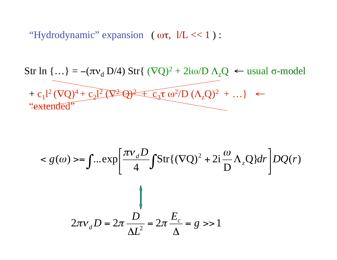"Hydrodynamic" expansion  $(\omega \tau, 1/L << 1)$ :

Str ln {…} = -(d D/4) Str{ (Q)2 + 2i/D zQ usual -model + c1l2 (Q)4 + c2l2 (2 Q)2 + c3 2/D (zQ)2 + …} "extended"

$$
\langle g(\omega) \rangle = \int \dots \exp\left[\frac{\pi v_d D}{4} \int \text{Str}\{(\nabla Q)^2 + 2i\frac{\omega}{D} \Lambda_z Q\} dr\right] DQ(r)
$$
\n
$$
\int \frac{d\omega}{d\omega} d\omega = 2\pi \frac{D}{\Delta L^2} = 2\pi \frac{E_c}{\Delta} = g \gg 1
$$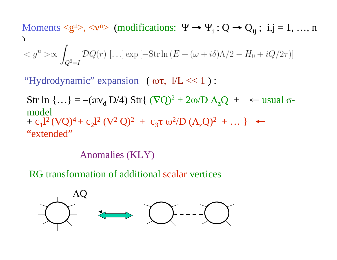Moments  $\langle g^n \rangle, \langle v^n \rangle$  (modifications:  $\Psi \to \Psi_i$ ;  $Q \to Q_{ij}$ ; i,j = 1, ..., n )

"Hydrodynamic" expansion ( $\omega\tau$ ,  $1/L \ll 1$ ):

Str ln {...} =  $-(\pi v_d D/4)$  Str{  $(\nabla Q)^2 + 2\omega/D \Lambda_z Q + \epsilon$  usual  $\sigma$ model  $+ c_1 l^2 (\nabla Q)^4 + c_2 l^2 (\nabla^2 Q)^2 + c_3 \tau \omega^2/D (\Lambda_z Q)^2 + ...$   $\leftarrow$ "extended"

Anomalies (KLY)

RG transformation of additional scalar vertices

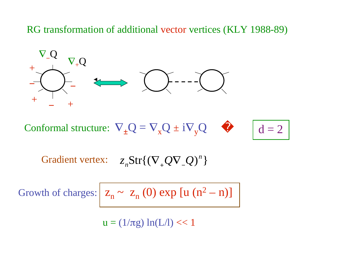RG transformation of additional vector vertices (KLY 1988-89)



Conformal structure:  $\nabla_{\pm} Q = \nabla_{\mathbf{x}} Q \pm i \nabla$ y Q

 $d = 2$ 

 $G$ radient vertex:  $z_n\text{Str}\{(\nabla_{_+}Q\nabla_{_-}Q)^n\}$ 

Growth of charges:  $\vert z_n \sim z_n(0) \exp \left[ u (n^2 - n) \right]$ 

 $\mathfrak{u}=(1/\pi \mathrm{g})\, \ln(\mathrm{L/l}) << 1$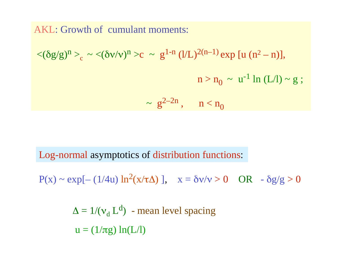AKL: Growth of cumulant moments:

$$
\langle (\delta g/g)^n \rangle_c \sim \langle (\delta v/v)^n \rangle c \sim g^{1-n} (l/L)^{2(n-1)} \exp [u (n^2 - n)],
$$
  
 $n > n_0 \sim u^{-1} \ln (L/l) \sim g ;$   
 $\sim g^{2-2n}, \quad n < n_0$ 

Log-normal asymptotics of distribution functions:

 $P(x) \sim \exp[-(1/4u) \ln^2(x/\tau \Delta)], \quad x = \delta v/v > 0 \quad OR \quad \delta g/g > 0$ 

 $\Delta=1/(\nu_{\rm d}\, {\rm L}^{\rm d})$ - mean level spacing  $\mathbf{u} = (1/\pi \mathbf{g}) \, \ln(\mathbf{L}/\mathbf{l})$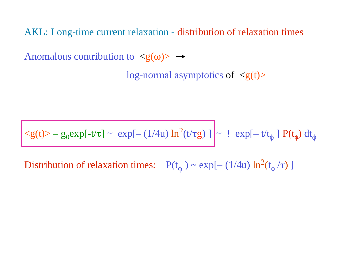AKL: Long-time current relaxation - distribution of relaxation times

Anomalous contribution to  $\langle g(\omega) \rangle \rightarrow$ 

log-normal asymptotics of  $\langle g(t) \rangle$ 

 $\langle g(t) \rangle - g_0 \exp[-t/\tau] \sim \exp[-(1/4u) \ln^2(t/\tau g)] \sim ! \exp[-t/t_\phi] P(t_\phi) dt_\phi$ 

Distribution of relaxation times:  $P(t_{\phi}) \sim \exp[-(1/4u) \ln^2(t)]$ φ  $\pi)$  ]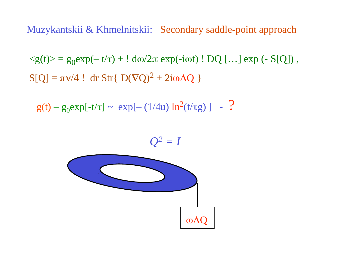Muzykantskii & Khmelnitskii: Secondary saddle-point approach

 $\langle g(t) \rangle = g_0 \exp(-t/\tau) + ! d\omega/2\pi \exp(-i\omega t)$ ! DQ [...] exp (- S[Q]),  $S[Q] = \pi v/4$ ! dr Str{ D(VQ)<sup>2</sup> + 2iωAQ }

 $g(t) - g_0 exp[-t/\tau] \sim exp[-(1/4u) ln^2(t/\tau g)] - ?$ 

 $\omega \Lambda Q$  $Q^2 = I$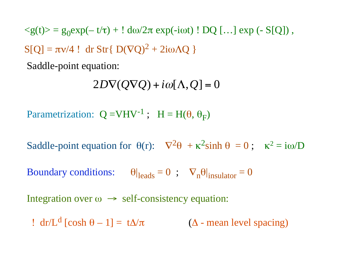$\langle g(t) \rangle = g_0 \exp(-t/\tau) + 1 \, d\omega/2\pi \exp(-i\omega t)$  ! DQ [...]  $\exp(-S[Q])$ ,  $S[Q] = \pi v/4$ ! dr Str{ D(VQ)<sup>2</sup> + 2iωAQ }

Saddle-point equation:

 $2D\nabla(Q\nabla Q) + i\omega[\Lambda, Q] = 0$ 

Parametrization:  $Q = VHV^{-1}$ ;  $H = H(\theta, \theta_F)$ 

Saddle-point equation for  $\theta(r)$ :  $\nabla^2 \theta + \kappa^2 \sinh \theta = 0$ ;  $\kappa^2 = i\omega/D$ 

Boundary conditions:  $\theta|_{\text{leads}} = 0$ ;  $\nabla_n \theta|_{\text{insulator}} = 0$ 

Integration over  $\omega \rightarrow$  self-consistency equation:

! dr/L<sup>d</sup> [cosh  $\theta - 1$ ] = t $\Delta/\pi$  ( $\Delta$  $(\Delta$  - mean level spacing)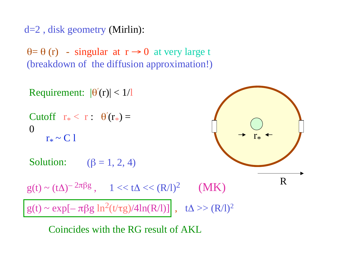d=2 , disk geometry (Mirlin):

 $\theta = \theta(r)$  - singular at  $r \rightarrow 0$  at very large t (breakdown of the diffusion approximation!)



Coincides with the RG result of AKL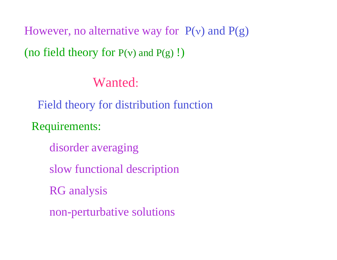However, no alternative way for  $P(v)$  and  $P(g)$ (no field theory for  $P(v)$  and  $P(g)$  !)

Wanted:

Field theory for distribution function

Requirements:

disorder averaging

slow functional description

RG analysis

non-perturbative solutions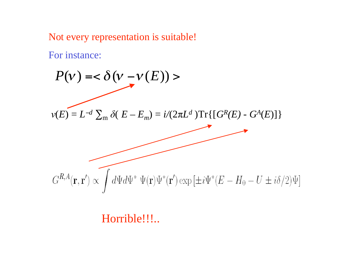Not every representation is suitable!

For instance:

 $P(\mathcal{V}) = < \delta(\mathcal{V})$  $-\nu(E))$  >  $\nu(E) = L^{-d} \sum_{m} \delta(E - E_m) = i/(2\pi L^d) \text{Tr} \{ [ G^R(E) - G^A(E) ] \}$  $G^{R,A}(\mathbf{r},\mathbf{r}') \propto \int d\Psi d\Psi^* \Psi(\mathbf{r}) \Psi^*(\mathbf{r}') \exp\left[\pm i\Psi^*(E-H_0-U\pm i\delta/2)\Psi\right]$ 

Horrible!!!..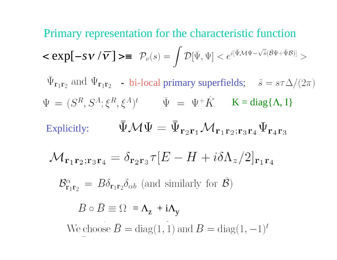**Primary representation for the characteristic function**  
\n
$$
\langle \exp[-s\mathbf{v}/\overline{\mathbf{v}}] \rangle = \mathcal{P}_{\nu}(s) = \int \mathcal{D}[\bar{\Psi}, \Psi] < e^{i[\bar{\Psi} \mathcal{M} \Psi - \sqrt{\delta}(\bar{\mathcal{B}} \Psi + \bar{\Psi} \mathcal{B})]} \rangle
$$
\n
$$
\bar{\Psi}_{\mathbf{r}_1 \mathbf{r}_2} \text{ and } \Psi_{\mathbf{r}_1 \mathbf{r}_2} \quad \text{bi-local primary superfields;} \quad \tilde{s} = s\tau \Delta/(2\pi)
$$
\n
$$
\Psi = (S^R, S^A; \xi^R, \xi^A)^t \qquad \bar{\Psi} = \Psi^+ \hat{K} \qquad \mathbf{K} = \text{diag}\{\Lambda, \mathbf{I}\}
$$
\nExplicitly: 
$$
\bar{\Psi} \mathcal{M} \Psi = \bar{\Psi}_{\mathbf{r}_2 \mathbf{r}_1} \mathcal{M}_{\mathbf{r}_1 \mathbf{r}_2; \mathbf{r}_3 \mathbf{r}_4} \Psi_{\mathbf{r}_4 \mathbf{r}_3}
$$
\n
$$
\mathcal{M}_{\mathbf{r}_1 \mathbf{r}_2; \mathbf{r}_3 \mathbf{r}_4} = \delta_{\mathbf{r}_2 \mathbf{r}_3} \tau [E - H + i \delta \Lambda_z / 2]_{\mathbf{r}_1 \mathbf{r}_4}
$$
\n
$$
\mathcal{B}^{\alpha}_{\mathbf{r}_1 \mathbf{r}_2} = B \delta_{\mathbf{r}_1 \mathbf{r}_2} \delta_{\alpha b} \text{ (and similarly for } \bar{\mathcal{B}})
$$
\n
$$
B \circ \bar{B} = \Omega = \Lambda_z + i \Lambda_y
$$
\n
$$
\text{We choose } \bar{B} = \text{diag}(1, 1) \text{ and } B = \text{diag}(1, -1)^t
$$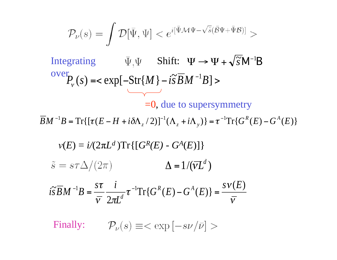$$
\mathcal{P}_\nu(s)=\int \mathcal{D}[\bar{\Psi},\Psi]
$$

Integrating  $\overline{\Psi}, \Psi$  Shift:  $\Psi \rightarrow \Psi + \sqrt{\tilde{s}} M^{-1}B$ over  $P_v(s) = \exp[-\text{Str}\{M\} - i\tilde{s} \overline{B}M^{-1}B]$  $\overline{\phantom{a}}$ 

=0, due to supersymmetry

 $\overline{B}M^{-1}B = \text{Tr}\{[\tau(E - H + i\delta\Lambda_z/2)]^{-1}(\Lambda_z + i\Lambda_y)\} = \tau^{-1}\text{Tr}\{G^R(E) - G^A(E)\}$ 

$$
v(E) = i/(2\pi L^d) \operatorname{Tr} \{ [G^R(E) - G^A(E)] \}
$$
  
\n
$$
\tilde{s} = s\tau \Delta/(2\pi) \qquad \Delta = 1/(\overline{v}L^d)
$$
  
\n
$$
i\tilde{s} \overline{B}M^{-1}B = \frac{s\tau}{\overline{v}} \frac{i}{2\pi L^d} \tau^{-1} \operatorname{Tr} \{ G^R(E) - G^A(E) \} = \frac{s v(E)}{\overline{v}}
$$

Finally:  $\mathcal{P}_{\nu}(s) \equiv \langle \exp[-s\nu/\bar{\nu}] \rangle$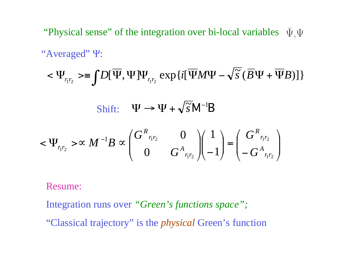"Physical sense" of the integration over bi-local variables  $\bar{\Psi}$ .  $\Psi$ "Averaged"  $\Psi$ :

$$
<\Psi_{_{r_1r_2}}>=\int D[\overline{\Psi},\Psi]\Psi_{_{r_1r_2}}\exp\{i[\overline{\Psi}M\Psi-\sqrt{\widetilde{s}}(\overline{B}\Psi+\overline{\Psi}B)]\}
$$

 $\langle \Psi_{r_1r_2} \rangle \propto M^{-1} B \propto \begin{pmatrix} G^R{}_{r_1r_2} & 0 \ 0 & G^A{}_{r_1r_2} \end{pmatrix} \begin{pmatrix} 1 \ -1 \end{pmatrix} = \begin{pmatrix} G^R{}_{r_1r_2} \ -G^A{}_{r_1r_2} \end{pmatrix}$  $\Psi \rightarrow \propto M^{-1}B \propto$  $\left(\begin{matrix} \frac{1}{r_1r_2} & \mathcal{O} \ 0 & G^A\frac{1}{r_1r_2} \end{matrix}\right) \left(\begin{matrix} \frac{1}{r_1r_2} \ -1 \end{matrix}\right) = \left(\begin{matrix} G^R\frac{1}{r_1r_2} \ -G^A\frac{1}{r_1r_2} \end{matrix}\right)$ 

Shift:  $\Psi \rightarrow \Psi + \sqrt{\tilde{s}} M^{-1}B$ 

Resume:

Integration runs over *"Green's functions space";*

"Classical trajectory" is the *physical* Green's function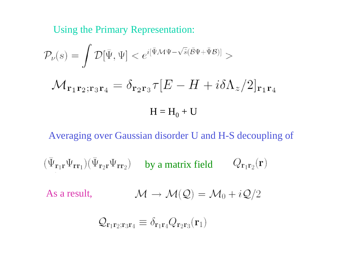Using the Primary Representation:

$$
\mathcal{P}_{\nu}(s) = \int \mathcal{D}[\bar{\Psi}, \Psi] < e^{i[\bar{\Psi}\mathcal{M}\Psi - \sqrt{\tilde{s}}(\bar{\mathcal{B}}\Psi + \bar{\Psi}\mathcal{B})]} > \\
\mathcal{M}_{\mathbf{r}_1 \mathbf{r}_2; \mathbf{r}_3 \mathbf{r}_4} = \delta_{\mathbf{r}_2 \mathbf{r}_3} \tau [E - H + i\delta \Lambda_z / 2]_{\mathbf{r}_1 \mathbf{r}_4} \\
H = H_0 + U
$$

Averaging over Gaussian disorder U and H-S decoupling of

 $(\bar{\Psi}_{\mathbf{r}_1\mathbf{r}}\Psi_{\mathbf{r}\mathbf{r}_1})(\bar{\Psi}_{\mathbf{r}_2\mathbf{r}}\Psi_{\mathbf{r}\mathbf{r}_2})$  by a matrix field  $Q_{\mathbf{r}_1\mathbf{r}_2}(\mathbf{r})$ 

As a result, 
$$
\mathcal{M} \to \mathcal{M}(\mathcal{Q}) = \mathcal{M}_0 + i\mathcal{Q}/2
$$

$$
Q_{\mathbf{r}_1\mathbf{r}_2;\mathbf{r}_3\mathbf{r}_4} \equiv \delta_{\mathbf{r}_1\mathbf{r}_4} Q_{\mathbf{r}_2\mathbf{r}_3}(\mathbf{r}_1)
$$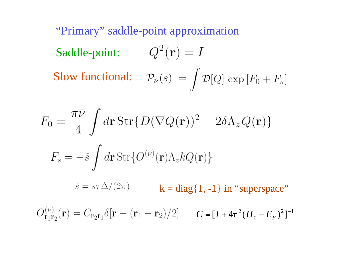"Primary" saddle-point approximation Saddle-point:  $Q^2(\mathbf{r}) = I$ Slow functional:  $\mathcal{P}_{\nu}(s) = \int \mathcal{D}[Q] \exp[F_0 + F_s]$ 

$$
F_0 = \frac{\pi \bar{\nu}}{4} \int d\mathbf{r} \operatorname{Str} \{ D(\nabla Q(\mathbf{r}))^2 - 2\delta \Lambda_z Q(\mathbf{r}) \}
$$
  

$$
F_s = -\tilde{s} \int d\mathbf{r} \operatorname{Str} \{ O^{(\nu)}(\mathbf{r}) \Lambda_z k Q(\mathbf{r}) \}
$$
  

$$
\tilde{s} = s\tau \Delta/(2\pi) \qquad \mathbf{k} = \operatorname{diag} \{ 1, -1 \} \text{ in "superspace"}
$$
  

$$
O_{\mathbf{r}_1 \mathbf{r}_2}^{(\nu)}(\mathbf{r}) = C_{\mathbf{r}_2 \mathbf{r}_1} \delta[\mathbf{r} - (\mathbf{r}_1 + \mathbf{r}_2)/2] \qquad C = [I + 4\tau^2 (H_0 - E_F)^2]^{-1}
$$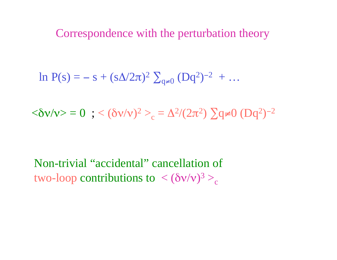Correspondence with the perturbation theory

 $\ln P(s) = -s + (s\Delta/2\pi)^2 \sum_{q\neq 0} (Dq^2)^{-2} + ...$ 

 $<\hspace{-3mm} \delta \mathrm{\mathsf{v}}/\mathrm{\mathsf{v}}> \hspace{-3mm} > 0 \;\; ; \,\, <(\delta \mathrm{\mathsf{v}}/\mathrm{\mathsf{v}})^2>_{\rm c} \hspace{-3mm} = \Delta^2/(2\pi^2)\, \sum\hspace{-3mm} {\rm q}\neq 0\; ({\rm D}{\rm q}^2)^{-2}$ 

Non-trivial "accidental" cancellation of two-loop contributions to  $\langle (\delta v/v)^3 \rangle_c$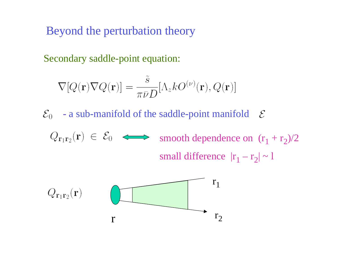Beyond the perturbation theory

Secondary saddle-point equation:

$$
\nabla [Q(\mathbf{r}) \nabla Q(\mathbf{r})] = \frac{\tilde{s}}{\pi \bar{\nu} D} [\Lambda_z k O^{(\nu)}(\mathbf{r}), Q(\mathbf{r})]
$$

 $\mathcal{E}_0$  - a sub-manifold of the saddle-point manifold  $\mathcal E$ 

smooth dependence on  $(r_1 + r_2)/2$ small difference  $|r_1 - r_2| \sim 1$ 

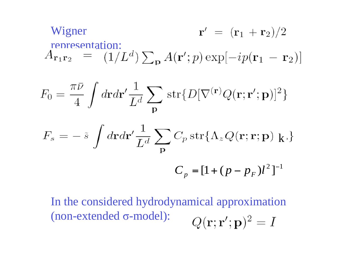Wigner  
representation:  

$$
A_{\mathbf{r}_1 \mathbf{r}_2} = (1/L^d) \sum_{\mathbf{p}} A(\mathbf{r}'; p) \exp[-ip(\mathbf{r}_1 - \mathbf{r}_2)]
$$

$$
F_0 = \frac{\pi \bar{\nu}}{4} \int d\mathbf{r} d\mathbf{r}' \frac{1}{L^d} \sum_{\mathbf{p}} \text{str}\{D[\nabla^{(\mathbf{r})} Q(\mathbf{r}; \mathbf{r}'; \mathbf{p})]^2\}
$$

$$
F_s = -\tilde{s} \int d\mathbf{r} d\mathbf{r}' \frac{1}{L^d} \sum_{\mathbf{p}} C_p \operatorname{str} \{ \Lambda_z Q(\mathbf{r}; \mathbf{r}; \mathbf{p}) | \mathbf{k} \}
$$

$$
C_p = [1 + (p - p_F)l^2]^{-1}
$$

In the considered hydrodynamical approximation  $(non-extended \sigma-model):$  $Q(\mathbf{r};\mathbf{r}';\mathbf{p})^2=I$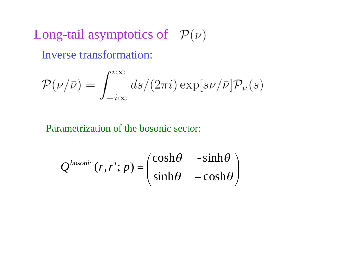Long-tail asymptotics of  $\mathcal{P}(\nu)$ 

Inverse transformation:

$$
\mathcal{P}(\nu/\bar{\nu}) = \int_{-i\infty}^{i\infty} ds/(2\pi i) \exp[s\nu/\bar{\nu}]\mathcal{P}_{\nu}(s)
$$

Parametrization of the bosonic sector:

$$
Q^{bosonic}(r,r';p) = \begin{pmatrix} \cosh\theta & -\sinh\theta \\ \sinh\theta & -\cosh\theta \end{pmatrix}
$$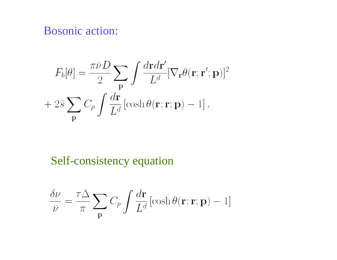### Bosonic action:

$$
F_b[\theta] = \frac{\pi \bar{\nu} D}{2} \sum_{\mathbf{p}} \int \frac{d\mathbf{r} d\mathbf{r}'}{L^d} [\nabla_{\mathbf{r}} \theta(\mathbf{r}; \mathbf{r}'; \mathbf{p})]^2
$$

$$
+ 2\tilde{s} \sum_{\mathbf{p}} C_p \int \frac{d\mathbf{r}}{L^d} [\cosh \theta(\mathbf{r}; \mathbf{r}; \mathbf{p}) - 1].
$$

Self-consistency equation

$$
\frac{\delta \nu}{\bar{\nu}} = \frac{\tau \Delta}{\pi} \sum_{\mathbf{p}} C_p \int \frac{d\mathbf{r}}{L^d} [\cosh \theta(\mathbf{r}; \mathbf{r}; \mathbf{p}) - 1]
$$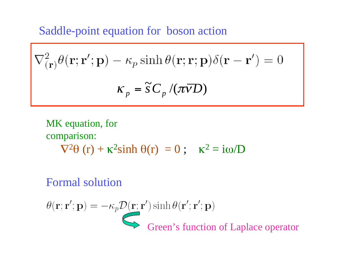Saddle-point equation for boson action

$$
\nabla^2_{(\mathbf{r})} \theta(\mathbf{r}; \mathbf{r}'; \mathbf{p}) - \kappa_p \sinh \theta(\mathbf{r}; \mathbf{r}; \mathbf{p}) \delta(\mathbf{r} - \mathbf{r}') = 0
$$

$$
\kappa_p = \tilde{s} C_p / (\pi \overline{\nu} D)
$$

MK equation, for  
comparison:  

$$
\nabla^2 \theta(r) + \kappa^2 \sinh \theta(r) = 0; \quad \kappa^2 = i\omega/D
$$

## Formal solution

$$
\theta(\mathbf{r}; \mathbf{r}'; \mathbf{p}) = -\kappa_p \mathcal{D}(\mathbf{r}; \mathbf{r}') \sinh \theta(\mathbf{r}'; \mathbf{r}'; \mathbf{p})
$$
  
Green's function of Laplace operator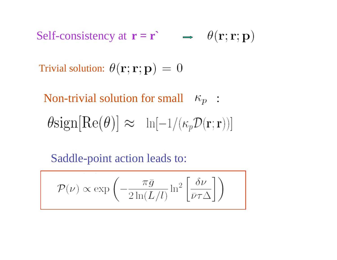Self-consistency at  $\mathbf{r} = \mathbf{r}$   $\rightarrow \theta(\mathbf{r}; \mathbf{r}; \mathbf{p})$ 

Trivial solution:  $\theta(\mathbf{r}; \mathbf{r}; \mathbf{p}) = 0$ 

Non-trivial solution for small  $\kappa_p$ :  $\theta \text{sign}[\text{Re}(\theta)] \approx \ln[-1/(\kappa_p \mathcal{D}(\mathbf{r};\mathbf{r}))]$ 

Saddle-point action leads to:

$$
\mathcal{P}(\nu) \propto \exp\left(-\frac{\pi \bar{g}}{2\ln(L/l)}\ln^2\left[\frac{\delta\nu}{\bar{\nu}\tau\Delta}\right]\right)
$$